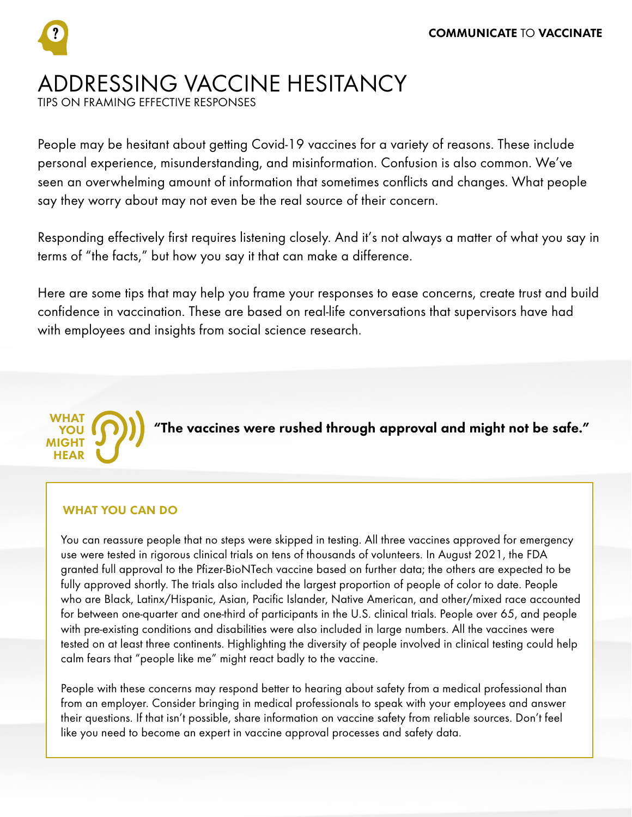# ADDRESSING VACCINE HESITANCY

TIPS ON FRAMING EFFECTIVE RESPONSES

People may be hesitant about getting Covid-19 vaccines for a variety of reasons. These include personal experience, misunderstanding, and misinformation. Confusion is also common. We've seen an overwhelming amount of information that sometimes conflicts and changes. What people say they worry about may not even be the real source of their concern.

Responding effectively first requires listening closely. And it's not always a matter of what you say in terms of "the facts," but how you say it that can make a difference.

Here are some tips that may help you frame your responses to ease concerns, create trust and build confidence in vaccination. These are based on real-life conversations that supervisors have had with employees and insights from social science research.



# WHAT YOU CAN DO

You can reassure people that no steps were skipped in testing. All three vaccines approved for emergency use were tested in rigorous clinical trials on tens of thousands of volunteers. In August 2021, the FDA granted full approval to the Pfizer-BioNTech vaccine based on further data; the others are expected to be fully approved shortly. The trials also included the largest proportion of people of color to date. People who are Black, Latinx/Hispanic, Asian, Pacific Islander, Native American, and other/mixed race accounted for between one-quarter and one-third of participants in the U.S. clinical trials. People over 65, and people with pre-existing conditions and disabilities were also included in large numbers. All the vaccines were tested on at least three continents. Highlighting the diversity of people involved in clinical testing could help calm fears that "people like me" might react badly to the vaccine.

People with these concerns may respond better to hearing about safety from a medical professional than from an employer. Consider bringing in medical professionals to speak with your employees and answer their questions. If that isn't possible, share information on vaccine safety from reliable sources. Don't feel like you need to become an expert in vaccine approval processes and safety data.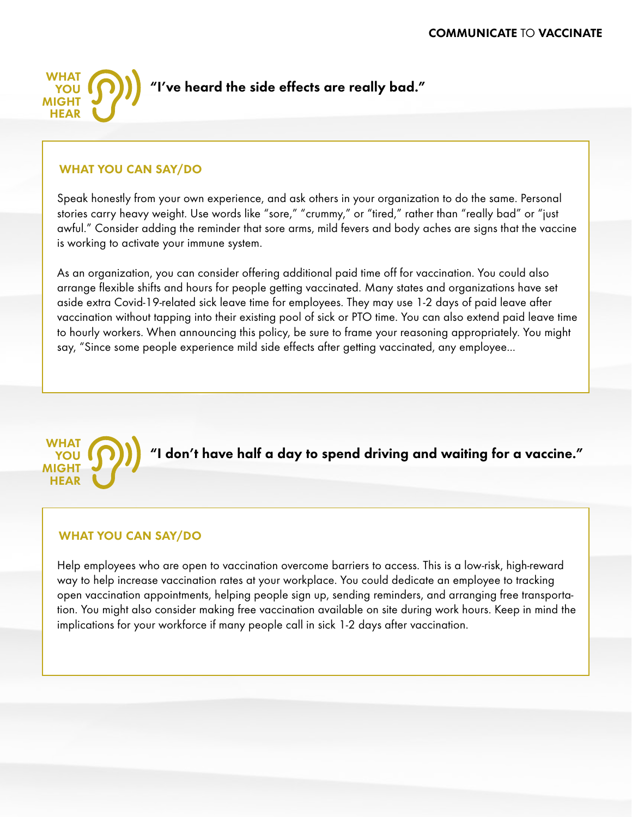

#### WHAT YOU CAN SAY/DO

Speak honestly from your own experience, and ask others in your organization to do the same. Personal stories carry heavy weight. Use words like "sore," "crummy," or "tired," rather than "really bad" or "just awful." Consider adding the reminder that sore arms, mild fevers and body aches are signs that the vaccine is working to activate your immune system.

As an organization, you can consider offering additional paid time off for vaccination. You could also arrange flexible shifts and hours for people getting vaccinated. Many states and organizations have set aside extra Covid-19-related sick leave time for employees. They may use 1-2 days of paid leave after vaccination without tapping into their existing pool of sick or PTO time. You can also extend paid leave time to hourly workers. When announcing this policy, be sure to frame your reasoning appropriately. You might say, "Since some people experience mild side effects after getting vaccinated, any employee...



# WHAT YOU CAN SAY/DO

Help employees who are open to vaccination overcome barriers to access. This is a low-risk, high-reward way to help increase vaccination rates at your workplace. You could dedicate an employee to tracking open vaccination appointments, helping people sign up, sending reminders, and arranging free transportation. You might also consider making free vaccination available on site during work hours. Keep in mind the implications for your workforce if many people call in sick 1-2 days after vaccination.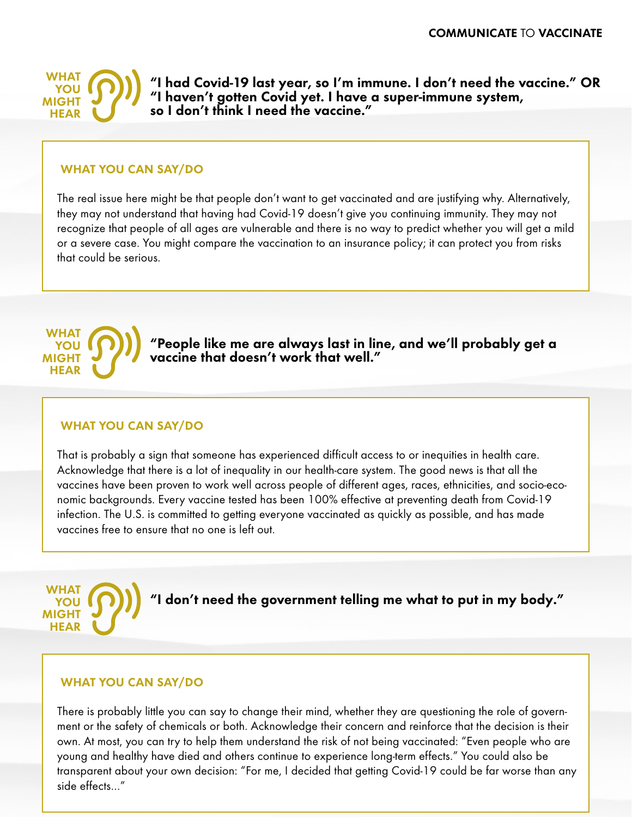

"I had Covid-19 last year, so I'm immune. I don't need the vaccine." OR "I haven't gotten Covid yet. I have a super-immune system, so I don't think I need the vaccine."

#### WHAT YOU CAN SAY/DO

The real issue here might be that people don't want to get vaccinated and are justifying why. Alternatively, they may not understand that having had Covid-19 doesn't give you continuing immunity. They may not recognize that people of all ages are vulnerable and there is no way to predict whether you will get a mild or a severe case. You might compare the vaccination to an insurance policy; it can protect you from risks that could be serious.



"People like me are always last in line, and we'll probably get a vaccine that doesn't work that well."

#### WHAT YOU CAN SAY/DO

That is probably a sign that someone has experienced difficult access to or inequities in health care. Acknowledge that there is a lot of inequality in our health-care system. The good news is that all the vaccines have been proven to work well across people of different ages, races, ethnicities, and socio-economic backgrounds. Every vaccine tested has been 100% effective at preventing death from Covid-19 infection. The U.S. is committed to getting everyone vaccinated as quickly as possible, and has made vaccines free to ensure that no one is left out.



#### WHAT YOU CAN SAY/DO

There is probably little you can say to change their mind, whether they are questioning the role of government or the safety of chemicals or both. Acknowledge their concern and reinforce that the decision is their own. At most, you can try to help them understand the risk of not being vaccinated: "Even people who are young and healthy have died and others continue to experience long-term effects." You could also be transparent about your own decision: "For me, I decided that getting Covid-19 could be far worse than any side effects…"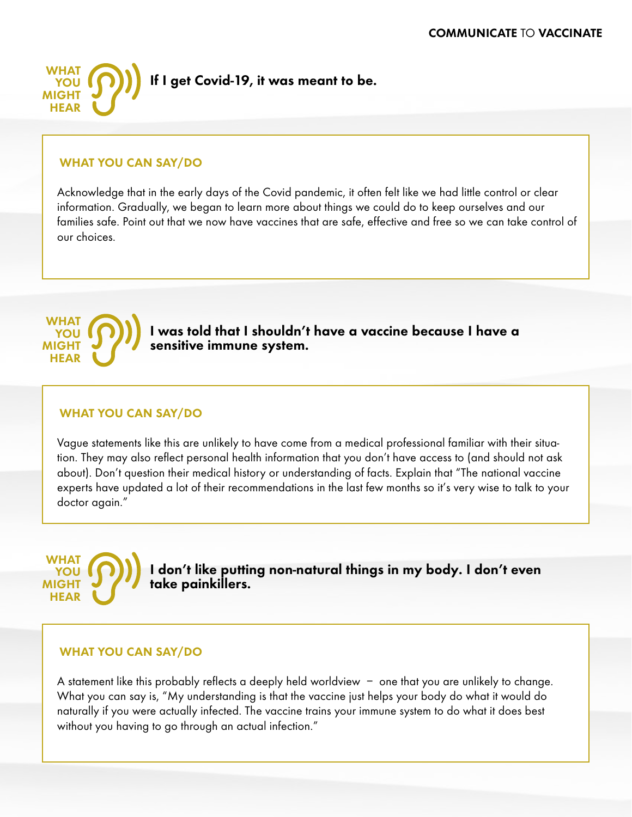

# WHAT YOU CAN SAY/DO

Acknowledge that in the early days of the Covid pandemic, it often felt like we had little control or clear information. Gradually, we began to learn more about things we could do to keep ourselves and our families safe. Point out that we now have vaccines that are safe, effective and free so we can take control of our choices.



WHAT YOU MIGHT HEAR

I was told that I shouldn't have a vaccine because I have a sensitive immune system.

# WHAT YOU CAN SAY/DO

Vague statements like this are unlikely to have come from a medical professional familiar with their situation. They may also reflect personal health information that you don't have access to (and should not ask about). Don't question their medical history or understanding of facts. Explain that "The national vaccine experts have updated a lot of their recommendations in the last few months so it's very wise to talk to your doctor again."

# I don't like putting non-natural things in my body. I don't even take painkillers.

# WHAT YOU CAN SAY/DO

A statement like this probably reflects a deeply held worldview – one that you are unlikely to change. What you can say is, "My understanding is that the vaccine just helps your body do what it would do naturally if you were actually infected. The vaccine trains your immune system to do what it does best without you having to go through an actual infection."